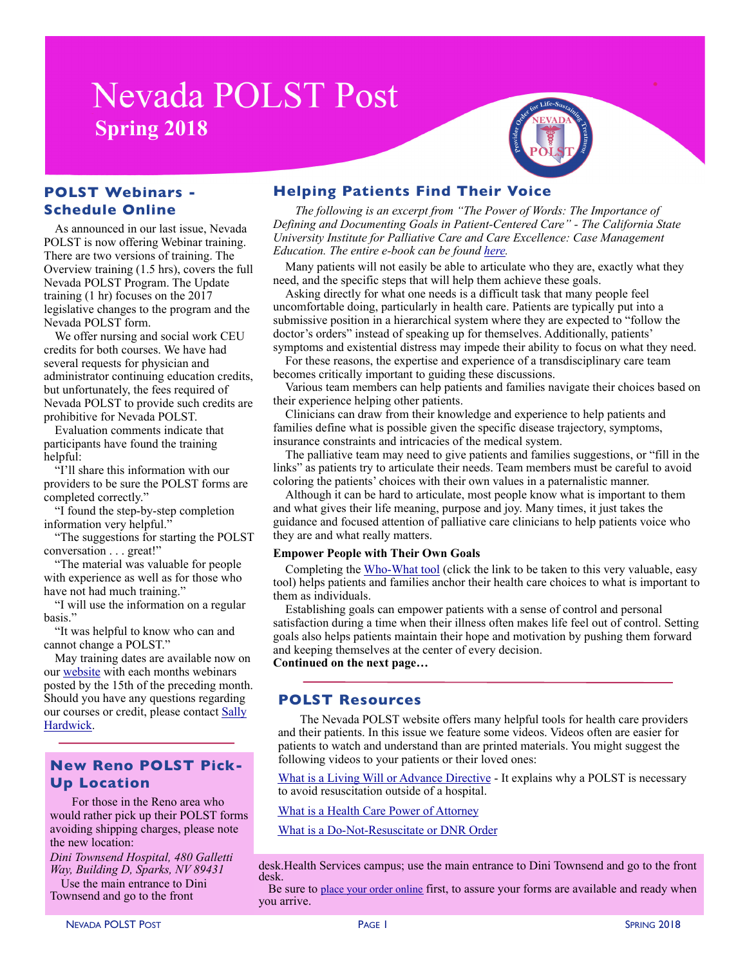# **Nevada POLST Post Spring 2018**



As announced in our last issue, Nevada POLST is now offering Webinar training. There are two versions of training. The Overview training (1.5 hrs), covers the full Nevada POLST Program. The Update training (1 hr) focuses on the 2017 legislative changes to the program and the Nevada POLST form.

We offer nursing and social work CEU credits for both courses. We have had several requests for physician and administrator continuing education credits, but unfortunately, the fees required of Nevada POLST to provide such credits are prohibitive for Nevada POLST.

Evaluation comments indicate that participants have found the training helpful:

"I'll share this information with our providers to be sure the POLST forms are completed correctly."

"I found the step-by-step completion information very helpful."

"The suggestions for starting the POLST conversation . . . great!"

"The material was valuable for people with experience as well as for those who have not had much training."

"I will use the information on a regular basis."

"It was helpful to know who can and cannot change a POLST."

May training dates are available now on our [website](http://www.nevadapolst.org/for-providers/polst-training/) with each months webinars posted by the 15th of the preceding month. Should you have any questions regarding our courses or credit, please contact [Sally](mailto:sph@nevadapolst.org?subject=Retro-Active%20CEU%20Credit)  [Hardwick](mailto:sph@nevadapolst.org?subject=Retro-Active%20CEU%20Credit).

## **New Reno POLST Pick-Up Location**

For those in the Reno area who would rather pick up their POLST forms avoiding shipping charges, please note the new location:

*Dini Townsend Hospital, 480 Galletti Way, Building D, Sparks, NV 89431* 

Use the main entrance to Dini Townsend and go to the front

# **Helping Patients Find Their Voice**

*The following is an excerpt from "The Power of Words: The Importance of Defining and Documenting Goals in Patient-Centered Care" - The California State University Institute for Palliative Care and Care Excellence: Case Management Education. The entire e-book can be found [here.](https://csupalliativecare.org/wp-content/uploads/Patient-goals-ebook-Front-Deja-11.7.2017.pdf)* 

Many patients will not easily be able to articulate who they are, exactly what they need, and the specific steps that will help them achieve these goals.

Asking directly for what one needs is a difficult task that many people feel uncomfortable doing, particularly in health care. Patients are typically put into a submissive position in a hierarchical system where they are expected to "follow the doctor's orders" instead of speaking up for themselves. Additionally, patients' symptoms and existential distress may impede their ability to focus on what they need.

For these reasons, the expertise and experience of a transdisciplinary care team becomes critically important to guiding these discussions.

Various team members can help patients and families navigate their choices based on their experience helping other patients.

Clinicians can draw from their knowledge and experience to help patients and families define what is possible given the specific disease trajectory, symptoms, insurance constraints and intricacies of the medical system.

The palliative team may need to give patients and families suggestions, or "fill in the links" as patients try to articulate their needs. Team members must be careful to avoid coloring the patients' choices with their own values in a paternalistic manner.

Although it can be hard to articulate, most people know what is important to them and what gives their life meaning, purpose and joy. Many times, it just takes the guidance and focused attention of palliative care clinicians to help patients voice who they are and what really matters.

#### **Empower People with Their Own Goals**

Completing the [Who-What tool](https://csupalliativecare.org/wp-content/uploads/Patient-goals-ebook-Front-Deja-11.7.2017.pdf) (click the link to be taken to this very valuable, easy tool) helps patients and families anchor their health care choices to what is important to them as individuals.

Establishing goals can empower patients with a sense of control and personal satisfaction during a time when their illness often makes life feel out of control. Setting goals also helps patients maintain their hope and motivation by pushing them forward and keeping themselves at the center of every decision.

**Continued on the next page…** 

### **POLST Resources**

The Nevada POLST website offers many helpful tools for health care providers and their patients. In this issue we feature some videos. Videos often are easier for patients to watch and understand than are printed materials. You might suggest the following videos to your patients or their loved ones:

[What is a Living Will or Advance Directive](https://www.supportivecareoptions.com/#/LRQ/scc059) - It explains why a POLST is necessary to avoid resuscitation outside of a hospital.

### [What is a Health Care Power of Attorney](https://www.supportivecareoptions.com/#/LRQ/scc056)

[What is a Do-Not-Resuscitate or DNR Order](https://www.supportivecareoptions.com/#/LRQ/scc053)

desk.Health Services campus; use the main entrance to Dini Townsend and go to the front desk.

Be sure to [place your order online](http://www.nevadapolst.org/nevada-polst-form/order-polst-forms/) first, to assure your forms are available and ready when you arrive.